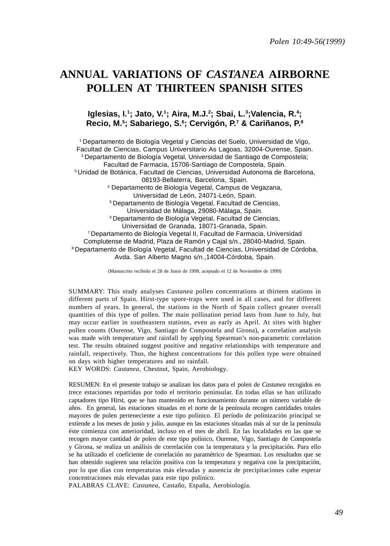# **ANNUAL VARIATIONS OF** *CASTANEA* **AIRBORNE POLLEN AT THIRTEEN SPANISH SITES**

## **Iglesias, I.1 ; Jato, V.1; Aira, M.J.2 ; Sbai, L.3 ;Valencia, R.4 ; Recio, M.5 ; Sabariego, S.6 ; Cervigón, P.7 & Cariñanos, P.8**

1 Departamento de Biología Vegetal y Ciencias del Suelo, Universidad de Vigo, Facultad de Ciencias, Campus Universitario As Lagoas, 32004-Ourense, Spain. 2 Departamento de Biología Vegetal, Universidad de Santiago de Compostela; Facultad de Farmacia, 15706-Santiago de Compostela, Spain. 3 Unidad de Botánica, Facultad de Ciencias, Universidad Autonoma de Barcelona, 08193-Bellaterra, Barcelona, Spain. 4 Departamento de Biología Vegetal, Campus de Vegazana, Universidad de León, 24071-León, Spain. 5 Departamento de Biología Vegetal, Facultad de Ciencias, Universidad de Málaga, 29080-Málaga, Spain. 6 Departamento de Biología Vegetal, Facultad de Ciencias, Universidad de Granada, 18071-Granada, Spain. 7 Departamento de Biología Vegetal II, Facultad de Farmacia, Universidad Complutense de Madrid, Plaza de Ramón y Cajal s/n., 28040-Madrid, Spain. 8 Departamento de Biología Vegetal, Facultad de Ciencias, Universidad de Córdoba, Avda. San Alberto Magno s/n.,14004-Córdoba, Spain.

(Manuscrito recibido el 28 de Junio de 1999, aceptado el 12 de Noviembre de 1999)

SUMMARY: This study analyses *Castanea* pollen concentrations at thirteen stations in different parts of Spain. Hirst-type spore-traps were used in all cases, and for different numbers of years. In general, the stations in the North of Spain collect greater overall quantities of this type of pollen. The main pollination period lasts from June to July, but may occur earlier in southeastern stations, even as early as April. At sites with higher pollen counts (Ourense, Vigo, Santiago de Compostela and Girona), a correlation analysis was made with temperature and rainfall by applying Spearman's non-parametric correlation test. The results obtained suggest positive and negative relationships with temperature and rainfall, respectively. Thus, the highest concentrations for this pollen type were obtained on days with higher temperatures and no rainfall.

KEY WORDS: *Castanea*, Chestnut, Spain, Aerobiology.

RESUMEN: En el presente trabajo se analizan los datos para el polen de *Castanea* recogidos en trece estaciones repartidas por todo el territorio peninsular. En todas ellas se han utilizado captadores tipo Hirst, que se han mantenido en funcionamiento durante un número variable de años. En general, las estaciones situadas en el norte de la península recogen cantidades totales mayores de polen perteneciente a este tipo polínico. El período de polinización principal se extiende a los meses de junio y julio, aunque en las estaciones situadas más al sur de la península éste comienza con anterioridad, incluso en el mes de abril. En las localidades en las que se recogen mayor cantidad de polen de este tipo polínico, Ourense, Vigo, Santiago de Compostela y Girona, se realiza un análisis de correlación con la temperatura y la precipitación. Para ello se ha utilizado el coeficiente de correlación no paramétrico de Spearman. Los resultados que se han obtenido sugieren una relación positiva con la temperatura y negativa con la precipitación, por lo que días con temperaturas más elevadas y ausencia de precipitaciones cabe esperar concentraciones más elevadas para este tipo polínico.

PALABRAS CLAVE: *Castanea*, Castaño, España, Aerobiología.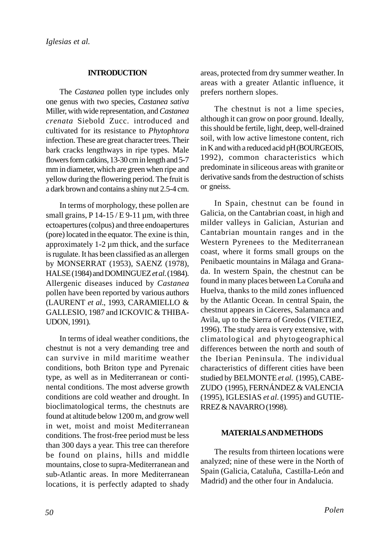## **INTRODUCTION**

The *Castanea* pollen type includes only one genus with two species, *Castanea sativa* Miller, with wide representation, and *Castanea crenata* Siebold Zucc. introduced and cultivated for its resistance to *Phytophtora* infection. These are great character trees. Their bark cracks lengthways in ripe types. Male flowers form catkins, 13-30 cm in length and 5-7 mm in diameter, which are green when ripe and yellow during the flowering period. The fruit is a dark brown and contains a shiny nut 2.5-4 cm.

In terms of morphology, these pollen are small grains,  $P$  14-15 / E 9-11  $\mu$ m, with three ectoapertures (colpus) and three endoapertures (pore) located in the equator. The exine is thin, approximately 1-2 µm thick, and the surface is rugulate. It has been classified as an allergen by MONSERRAT (1953), SAENZ (1978), HALSE (1984) and DOMINGUEZ *et al*. (1984). Allergenic diseases induced by *Castanea* pollen have been reported by various authors (LAURENT *et al*., 1993, CARAMIELLO & GALLESIO, 1987 and ICKOVIC & THIBA-UDON, 1991).

In terms of ideal weather conditions, the chestnut is not a very demanding tree and can survive in mild maritime weather conditions, both Briton type and Pyrenaic type, as well as in Mediterranean or continental conditions. The most adverse growth conditions are cold weather and drought. In bioclimatological terms, the chestnuts are found at altitude below 1200 m, and grow well in wet, moist and moist Mediterranean conditions. The frost-free period must be less than 300 days a year. This tree can therefore be found on plains, hills and middle mountains, close to supra-Mediterranean and sub-Atlantic areas. In more Mediterranean locations, it is perfectly adapted to shady areas, protected from dry summer weather. In areas with a greater Atlantic influence, it prefers northern slopes.

The chestnut is not a lime species, although it can grow on poor ground. Ideally, this should be fertile, light, deep, well-drained soil, with low active limestone content, rich in K and with a reduced acid pH (BOURGEOIS, 1992), common characteristics which predominate in siliceous areas with granite or derivative sands from the destruction of schists or gneiss.

In Spain, chestnut can be found in Galicia, on the Cantabrian coast, in high and milder valleys in Galician, Asturian and Cantabrian mountain ranges and in the Western Pyrenees to the Mediterranean coast, where it forms small groups on the Penibaetic mountains in Málaga and Granada. In western Spain, the chestnut can be found in many places between La Coruña and Huelva, thanks to the mild zones influenced by the Atlantic Ocean. In central Spain, the chestnut appears in Cáceres, Salamanca and Avila, up to the Sierra of Gredos (VIETIEZ, 1996). The study area is very extensive, with climatological and phytogeographical differences between the north and south of the Iberian Peninsula. The individual characteristics of different cities have been studied by BELMONTE *et al*. (1995), CABE-ZUDO (1995), FERNÁNDEZ & VALENCIA (1995), IGLESIAS *et al*. (1995) and GUTIE-RREZ & NAVARRO (1998).

## **MATERIALS AND METHODS**

The results from thirteen locations were analyzed; nine of these were in the North of Spain (Galicia, Cataluña, Castilla-León and Madrid) and the other four in Andalucia.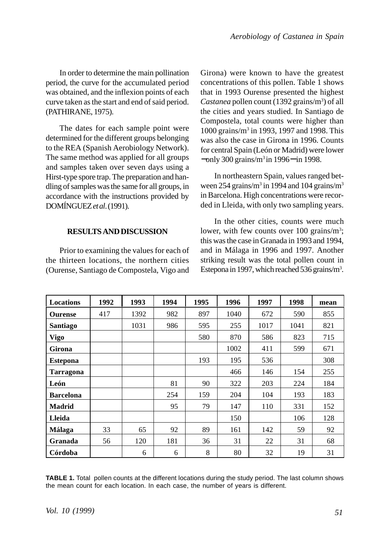In order to determine the main pollination period, the curve for the accumulated period was obtained, and the inflexion points of each curve taken as the start and end of said period. (PATHIRANE, 1975).

The dates for each sample point were determined for the different groups belonging to the REA (Spanish Aerobiology Network). The same method was applied for all groups and samples taken over seven days using a Hirst-type spore trap. The preparation and handling of samples was the same for all groups, in accordance with the instructions provided by DOMÍNGUEZ *et al*. (1991).

### **RESULTS AND DISCUSSION**

Prior to examining the values for each of the thirteen locations, the northern cities (Ourense, Santiago de Compostela, Vigo and Girona) were known to have the greatest concentrations of this pollen. Table 1 shows that in 1993 Ourense presented the highest Castanea pollen count (1392 grains/m<sup>3</sup>) of all the cities and years studied. In Santiago de Compostela, total counts were higher than 1000 grains/m3 in 1993, 1997 and 1998. This was also the case in Girona in 1996. Counts for central Spain (León or Madrid) were lower −only 300 grains/m3 in 1996− in 1998.

In northeastern Spain, values ranged between 254 grains/ $m<sup>3</sup>$  in 1994 and 104 grains/ $m<sup>3</sup>$ in Barcelona. High concentrations were recorded in Lleida, with only two sampling years.

In the other cities, counts were much lower, with few counts over 100 grains/m<sup>3</sup>; this was the case in Granada in 1993 and 1994, and in Málaga in 1996 and 1997. Another striking result was the total pollen count in Estepona in 1997, which reached 536 grains/m<sup>3</sup>.

| <b>Locations</b> | 1992 | 1993 | 1994 | 1995 | 1996 | 1997 | 1998 | mean |
|------------------|------|------|------|------|------|------|------|------|
| <b>Ourense</b>   | 417  | 1392 | 982  | 897  | 1040 | 672  | 590  | 855  |
| <b>Santiago</b>  |      | 1031 | 986  | 595  | 255  | 1017 | 1041 | 821  |
| <b>Vigo</b>      |      |      |      | 580  | 870  | 586  | 823  | 715  |
| Girona           |      |      |      |      | 1002 | 411  | 599  | 671  |
| <b>Estepona</b>  |      |      |      | 193  | 195  | 536  |      | 308  |
| <b>Tarragona</b> |      |      |      |      | 466  | 146  | 154  | 255  |
| León             |      |      | 81   | 90   | 322  | 203  | 224  | 184  |
| <b>Barcelona</b> |      |      | 254  | 159  | 204  | 104  | 193  | 183  |
| <b>Madrid</b>    |      |      | 95   | 79   | 147  | 110  | 331  | 152  |
| Lleida           |      |      |      |      | 150  |      | 106  | 128  |
| Málaga           | 33   | 65   | 92   | 89   | 161  | 142  | 59   | 92   |
| Granada          | 56   | 120  | 181  | 36   | 31   | 22   | 31   | 68   |
| Córdoba          |      | 6    | 6    | 8    | 80   | 32   | 19   | 31   |

**TABLE 1.** Total pollen counts at the different locations during the study period. The last column shows the mean count for each location. In each case, the number of years is different.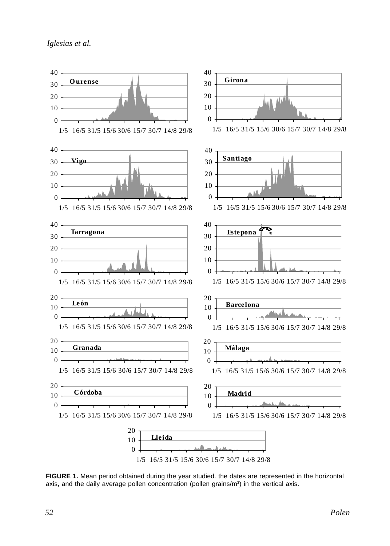*Iglesias et al.*



**FIGURE 1.** Mean period obtained during the year studied. the dates are represented in the horizontal axis, and the daily average pollen concentration (pollen grains/ $m<sup>3</sup>$ ) in the vertical axis.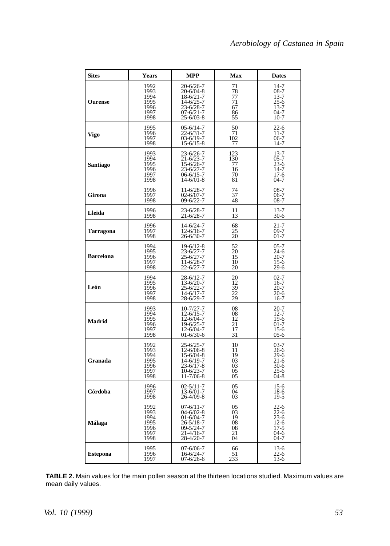| <b>Sites</b>     | <b>Years</b>                                         | <b>MPP</b>                                                                                                                    | Max                                           | <b>Dates</b>                                                                    |
|------------------|------------------------------------------------------|-------------------------------------------------------------------------------------------------------------------------------|-----------------------------------------------|---------------------------------------------------------------------------------|
| <b>Ourense</b>   | 1992<br>1993<br>1994<br>1995<br>1996<br>1997<br>1998 | 20-6/26-7<br>$20 - 6/04 - 8$<br>$18-6/21-7$<br>$14 - 6/25 - 7$<br>23-6/28-7<br>$07 - 6/21 - 7$<br>$25 - 6/03 - 8$             | 71<br>78<br>77<br>71<br>67<br>86<br>55        | $14-7$<br>$08-7$<br>$13 - 7$<br>25-6<br>$13 - 7$<br>$04-7$<br>$10-7$            |
| Vigo             | 1995<br>1996<br>1997<br>1998                         | 05-6/14-7<br>$22 - 6/31 - 7$<br>$03 - 6/19 - 7$<br>$15 - 6/15 - 8$                                                            | $^{50}_{71}$<br>102<br>77                     | $^{22-6}_{11-7}$<br>$06-7$<br>14-7                                              |
| Santiago         | 1993<br>1994<br>1995<br>1996<br>1997<br>1998         | 23-6/26-7<br>$21 - 6/23 - 7$<br>15-6/26-7<br>23-6/27-7<br>$06 - 6/15 - 7$<br>$14 - 6/01 - 8$                                  | $\frac{123}{130}$<br>77<br>16<br>70<br>81     | $13 - 7$<br>$05 - 7$<br>$23-6$<br>$14-7$<br>$17-6$<br>$04 - 7$                  |
| Girona           | 1996<br>1997<br>1998                                 | 11-6/28-7<br>$02 - 6/07 - 7$<br>$09 - 6/22 - 7$                                                                               | 74<br>37<br>48                                | $08-7$<br>$06-7$<br>$08 - 7$                                                    |
| Lleida           | 1996<br>1998                                         | 23-6/28-7<br>$21 - 6/28 - 7$                                                                                                  | 11<br>13                                      | $13 - 7$<br>$30-6$                                                              |
| Tarragona        | 1996<br>1997<br>1998                                 | 14-6/24-7<br>$12 - 6/16 - 7$<br>$26 - 6/30 - 7$                                                                               | $^{68}_{25}$<br>$\overline{20}$               | $21 - 7$<br>09-7<br>$01 - 7$                                                    |
| <b>Barcelona</b> | 1994<br>1995<br>1996<br>1997<br>1998                 | 19-6/12-8<br>$23 - 6/27 - 7$<br>25-6/27-7<br>11-6/28-7<br>$22 - 6/27 - 7$                                                     | $\frac{52}{20}$<br>15<br>10<br>20             | $05 - 7$<br>$24-6$<br>$20 - 7$<br>$15-6$<br>$29-6$                              |
| León             | 1994<br>1995<br>1996<br>1997<br>1998                 | 28-6/12-7<br>$13 - 6/20 - 7$<br>$25 - 6/22 - 7$<br>$14-6/17-7$<br>28-6/29-7                                                   | $^{20}_{12}$<br>39<br>22<br>29                | $02 - 7$<br>16-7<br>$20 - 7$<br>$20-6$<br>16-7                                  |
| <b>Madrid</b>    | 1993<br>1994<br>1995<br>1996<br>1997<br>1998         | $10 - 7/27 - 7$<br>$12 - 6/15 - 7$<br>12-6/04-7<br>19-6/25-7<br>12-6/04-7<br>$01 - 6/30 - 6$                                  | 08<br>08<br>12<br>21<br>$\overline{1}7$<br>31 | $20 - 7$<br>$12 - 7$<br>$19-6$<br>$01 - 7$<br>$15-6$<br>$05-6$                  |
| Granada          | 1992<br>1993<br>1994<br>1995<br>1996<br>1997<br>1998 | $25 - 6/25 - 7$<br>$12 - 6/06 - 8$<br>$15 - 6/04 - 8$<br>$14 - 6/19 - 7$<br>$23 - 6/17 - 8$<br>$10-6/23-7$<br>$11 - 7/06 - 8$ | 10<br>11<br>19<br>03<br>03<br>05<br>05        | $03 - 7$<br>26-6<br>$29-6$<br>$21-6$<br>$30-6$<br>$25 - 6$<br>$04-8$            |
| Córdoba          | 1996<br>1997<br>1998                                 | $02 - 5/11 - 7$<br>$13 - 6/01 - 7$<br>$26 - 4/09 - 8$                                                                         | 05<br>04<br>0 <sub>3</sub>                    | $15-6$<br>18-6<br>$19 - 5$                                                      |
| Málaga           | 1992<br>1993<br>1994<br>1995<br>1996<br>1997<br>1998 | $07 - 6/11 - 7$<br>$04 - 6/02 - 8$<br>$01 - 6/04 - 7$<br>26-5/18-7<br>$09 - 5/24 - 7$<br>21-4/16-7<br>28-4/20-7               | 05<br>03<br>19<br>08<br>08<br>21<br>04        | $22-6$<br>$22 - 6$<br>$\overline{2}3-6$<br>$12-6$<br>$17-5$<br>$04-6$<br>$04-7$ |
| <b>Estepona</b>  | 1995<br>1996<br>1997                                 | $07 - 6/06 - 7$<br>16-6/24-7<br>07-6/26-6                                                                                     | 66<br>$\frac{51}{233}$                        | $13-6$<br>$\frac{22-6}{13-6}$                                                   |

**TABLE 2.** Main values for the main pollen season at the thirteen locations studied. Maximum values are mean daily values.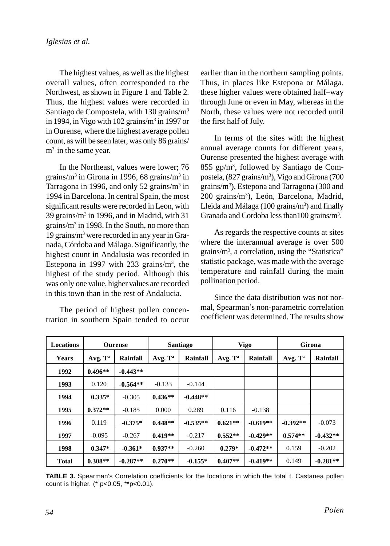The highest values, as well as the highest overall values, often corresponded to the Northwest, as shown in Figure 1 and Table 2. Thus, the highest values were recorded in Santiago de Compostela, with 130 grains/m3 in 1994, in Vigo with 102 grains/m<sup>3</sup> in 1997 or in Ourense, where the highest average pollen count, as will be seen later, was only 86 grains/ m<sup>3</sup> in the same year.

In the Northeast, values were lower; 76 grains/m<sup>3</sup> in Girona in 1996, 68 grains/m<sup>3</sup> in Tarragona in 1996, and only 52 grains/m<sup>3</sup> in 1994 in Barcelona. In central Spain, the most significant results were recorded in Leon, with 39 grains/m3 in 1996, and in Madrid, with 31 grains/m3 in 1998. In the South, no more than 19 grains/m3 were recorded in any year in Granada, Córdoba and Málaga. Significantly, the highest count in Andalusia was recorded in Estepona in 1997 with 233 grains/ $m<sup>3</sup>$ , the highest of the study period. Although this was only one value, higher values are recorded in this town than in the rest of Andalucia.

The period of highest pollen concentration in southern Spain tended to occur earlier than in the northern sampling points. Thus, in places like Estepona or Málaga, these higher values were obtained half–way through June or even in May, whereas in the North, these values were not recorded until the first half of July.

In terms of the sites with the highest annual average counts for different years, Ourense presented the highest average with 855 gp/m3 , followed by Santiago de Compostela, (827 grains/m<sup>3</sup>), Vigo and Girona (700 grains/m3 ), Estepona and Tarragona (300 and 200 grains/m<sup>3</sup>), León, Barcelona, Madrid, Lleida and Málaga (100 grains/m<sup>3</sup>) and finally Granada and Cordoba less than 100 grains/m<sup>3</sup>.

As regards the respective counts at sites where the interannual average is over 500 grains/m3 , a correlation, using the "Statistica" statistic package, was made with the average temperature and rainfall during the main pollination period.

Since the data distribution was not normal, Spearman's non-parametric correlation coefficient was determined. The results show

| Locations    | <b>Ourense</b>      |            | Santiago   |            | Vigo       |            | Girona              |            |
|--------------|---------------------|------------|------------|------------|------------|------------|---------------------|------------|
| Years        | Avg. T <sup>a</sup> | Rainfall   | Avg. $T^a$ | Rainfall   | Avg. $T^a$ | Rainfall   | Avg. T <sup>a</sup> | Rainfall   |
| 1992         | $0.496**$           | $-0.443**$ |            |            |            |            |                     |            |
| 1993         | 0.120               | $-0.564**$ | $-0.133$   | $-0.144$   |            |            |                     |            |
| 1994         | $0.335*$            | $-0.305$   | $0.436**$  | $-0.448**$ |            |            |                     |            |
| 1995         | $0.372**$           | $-0.185$   | 0.000      | 0.289      | 0.116      | $-0.138$   |                     |            |
| 1996         | 0.119               | $-0.375*$  | $0.448**$  | $-0.535**$ | $0.621**$  | $-0.619**$ | $-0.392**$          | $-0.073$   |
| 1997         | $-0.095$            | $-0.267$   | $0.419**$  | $-0.217$   | $0.552**$  | $-0.429**$ | $0.574**$           | $-0.432**$ |
| 1998         | $0.347*$            | $-0.361*$  | $0.937**$  | $-0.260$   | $0.279*$   | $-0.472**$ | 0.159               | $-0.202$   |
| <b>Total</b> | $0.308**$           | $-0.287**$ | $0.270**$  | $-0.155*$  | $0.407**$  | $-0.419**$ | 0.149               | $-0.281**$ |

**TABLE 3.** Spearman's Correlation coefficients for the locations in which the total t. Castanea pollen count is higher. (\* p<0.05, \*\*p<0.01).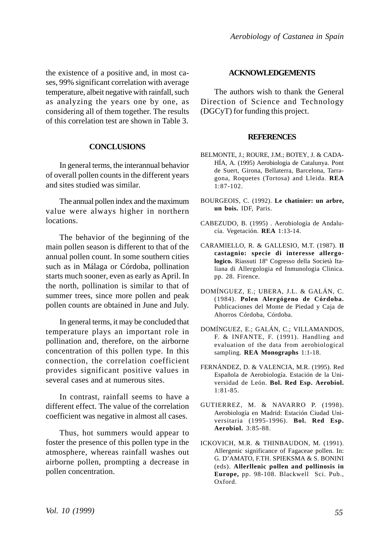the existence of a positive and, in most cases, 99% significant correlation with average temperature, albeit negative with rainfall, such as analyzing the years one by one, as considering all of them together. The results of this correlation test are shown in Table 3.

### **CONCLUSIONS**

In general terms, the interannual behavior of overall pollen counts in the different years and sites studied was similar.

The annual pollen index and the maximum value were always higher in northern locations.

The behavior of the beginning of the main pollen season is different to that of the annual pollen count. In some southern cities such as in Málaga or Córdoba, pollination starts much sooner, even as early as April. In the north, pollination is similar to that of summer trees, since more pollen and peak pollen counts are obtained in June and July.

In general terms, it may be concluded that temperature plays an important role in pollination and, therefore, on the airborne concentration of this pollen type. In this connection, the correlation coefficient provides significant positive values in several cases and at numerous sites.

In contrast, rainfall seems to have a different effect. The value of the correlation coefficient was negative in almost all cases.

Thus, hot summers would appear to foster the presence of this pollen type in the atmosphere, whereas rainfall washes out airborne pollen, prompting a decrease in pollen concentration.

### **ACKNOWLEDGEMENTS**

The authors wish to thank the General Direction of Science and Technology (DGCyT) for funding this project.

#### **REFERENCES**

- BELMONTE, J.; ROURE, J.M.; BOTEY, J. & CADA-HÍA, A. (1995) Aerobiologia de Catalunya. Pont de Suert, Girona, Bellaterra, Barcelona, Tarragona, Roquetes (Tortosa) and Lleida. **REA** 1:87-102.
- BOURGEOIS, C. (1992). **Le chatinier: un arbre, un bois.** IDF, Paris.
- CABEZUDO, B. (1995) . Aerobiología de Andalucía. Vegetación. **REA** 1:13-14.
- CARAMIELLO, R. & GALLESIO, M.T. (1987). **Il castagnio: specie di interesse allergologico.** Riassuti 18º Cogresso della Società Italiana di Allergologia ed Inmunologia Clinica. pp. 28. Firence.
- DOMÍNGUEZ, E.; UBERA, J.L. & GALÁN, C. (1984). **Polen Alergógeno de Córdoba.** Publicaciones del Monte de Piedad y Caja de Ahorros Córdoba, Córdoba.
- DOMÍNGUEZ, E.; GALÁN, C.; VILLAMANDOS, F. & INFANTE, F. (1991). Handling and evaluation of the data from aerobiological sampling. **REA Monographs** 1:1-18.
- FERNÁNDEZ, D. & VALENCIA, M.R. (1995). Red Española de Aerobiología. Estación de la Universidad de León. **Bol. Red Esp. Aerobiol.** 1:81-85.
- GUTIERREZ, M. & NAVARRO P. (1998). Aerobiología en Madrid: Estación Ciudad Universitaria (1995-1996). **Bol. Red Esp. Aerobiol.** 3:85-88.
- ICKOVICH, M.R. & THINBAUDON, M. (1991). Allergenic significance of Fagaceae pollen. In: G. D'AMATO, F.TH. SPIEKSMA & S. BONINI (eds). **Allerllenic pollen and pollinosis in Europe,** pp. 98-108. Blackwell Sci. Pub., Oxford.